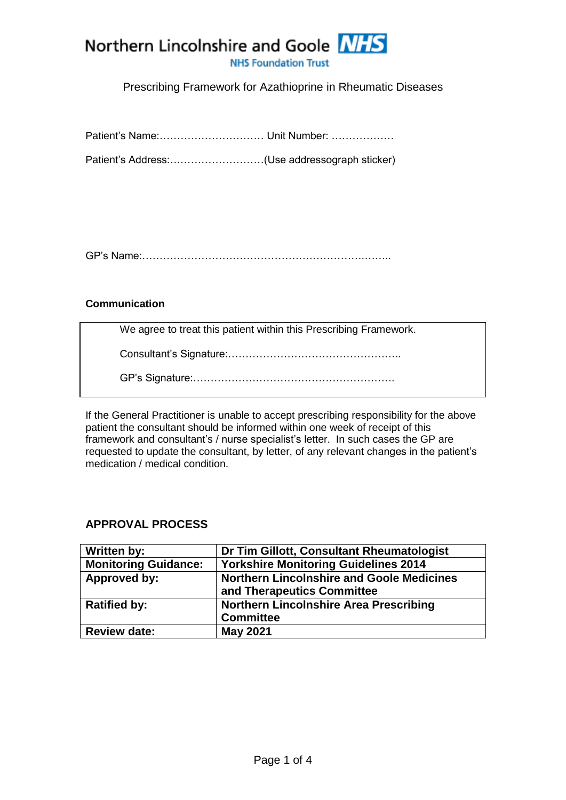

**NHS Foundation Trust** 

## Prescribing Framework for Azathioprine in Rheumatic Diseases

Patient's Address:………………………(Use addressograph sticker)

GP's Name:……………………………………………………….……..

### **Communication**

We agree to treat this patient within this Prescribing Framework.

Consultant's Signature:…………………………………………..

GP's Signature:………………………………………………….

If the General Practitioner is unable to accept prescribing responsibility for the above patient the consultant should be informed within one week of receipt of this framework and consultant's / nurse specialist's letter. In such cases the GP are requested to update the consultant, by letter, of any relevant changes in the patient's medication / medical condition.

## **APPROVAL PROCESS**

| <b>Written by:</b>          | Dr Tim Gillott, Consultant Rheumatologist        |  |
|-----------------------------|--------------------------------------------------|--|
| <b>Monitoring Guidance:</b> | <b>Yorkshire Monitoring Guidelines 2014</b>      |  |
| Approved by:                | <b>Northern Lincolnshire and Goole Medicines</b> |  |
|                             | and Therapeutics Committee                       |  |
| <b>Ratified by:</b>         | <b>Northern Lincolnshire Area Prescribing</b>    |  |
|                             | <b>Committee</b>                                 |  |
| <b>Review date:</b>         | <b>May 2021</b>                                  |  |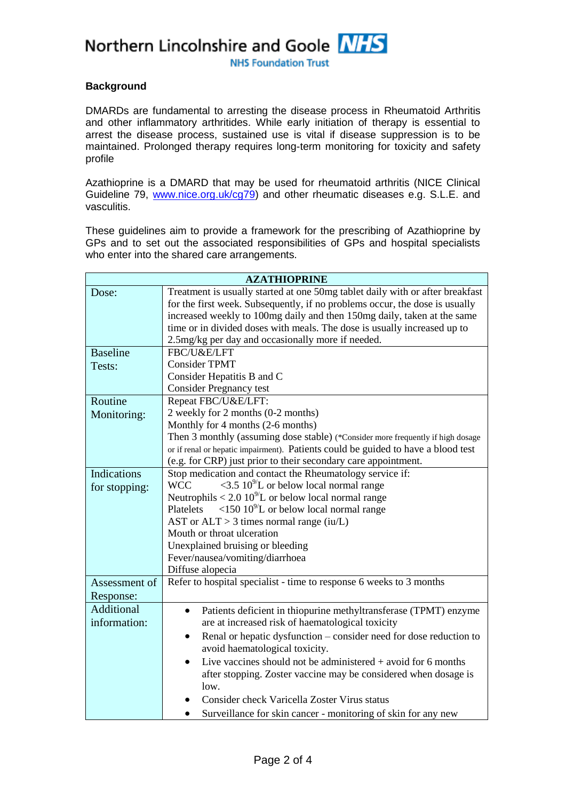Northern Lincolnshire and Goole NHS

**NHS Foundation Trust** 

#### **Background**

DMARDs are fundamental to arresting the disease process in Rheumatoid Arthritis and other inflammatory arthritides. While early initiation of therapy is essential to arrest the disease process, sustained use is vital if disease suppression is to be maintained. Prolonged therapy requires long-term monitoring for toxicity and safety profile

Azathioprine is a DMARD that may be used for rheumatoid arthritis (NICE Clinical Guideline 79, [www.nice.org.uk/cg79\)](file:///F:/Users/David/AppData/Local/Microsoft/Windows/Temporary%20Internet%20Files/Content.IE5/WKPKHJB9/www.nice.org.uk/cg79) and other rheumatic diseases e.g. S.L.E. and vasculitis.

These guidelines aim to provide a framework for the prescribing of Azathioprine by GPs and to set out the associated responsibilities of GPs and hospital specialists who enter into the shared care arrangements.

| <b>AZATHIOPRINE</b> |                                                                                         |  |  |  |
|---------------------|-----------------------------------------------------------------------------------------|--|--|--|
| Dose:               | Treatment is usually started at one 50mg tablet daily with or after breakfast           |  |  |  |
|                     | for the first week. Subsequently, if no problems occur, the dose is usually             |  |  |  |
|                     | increased weekly to 100mg daily and then 150mg daily, taken at the same                 |  |  |  |
|                     | time or in divided doses with meals. The dose is usually increased up to                |  |  |  |
|                     | 2.5mg/kg per day and occasionally more if needed.                                       |  |  |  |
| <b>Baseline</b>     | FBC/U&E/LFT                                                                             |  |  |  |
| Tests:              | <b>Consider TPMT</b>                                                                    |  |  |  |
|                     | Consider Hepatitis B and C                                                              |  |  |  |
|                     | <b>Consider Pregnancy test</b>                                                          |  |  |  |
| Routine             | Repeat FBC/U&E/LFT:                                                                     |  |  |  |
| Monitoring:         | 2 weekly for 2 months (0-2 months)                                                      |  |  |  |
|                     | Monthly for 4 months (2-6 months)                                                       |  |  |  |
|                     | Then 3 monthly (assuming dose stable) (*Consider more frequently if high dosage         |  |  |  |
|                     | or if renal or hepatic impairment). Patients could be guided to have a blood test       |  |  |  |
|                     | (e.g. for CRP) just prior to their secondary care appointment.                          |  |  |  |
| Indications         | Stop medication and contact the Rheumatology service if:                                |  |  |  |
| for stopping:       | $\langle 3.5 \, 10^{9}$ L or below local normal range<br><b>WCC</b>                     |  |  |  |
|                     | Neutrophils < $2.0\ 10^{9}/L$ or below local normal range                               |  |  |  |
|                     | $\langle 150\,10^{9}$ L or below local normal range<br>Platelets                        |  |  |  |
|                     | AST or $ALT > 3$ times normal range (iu/L)                                              |  |  |  |
|                     | Mouth or throat ulceration                                                              |  |  |  |
|                     | Unexplained bruising or bleeding                                                        |  |  |  |
|                     | Fever/nausea/vomiting/diarrhoea                                                         |  |  |  |
|                     | Diffuse alopecia<br>Refer to hospital specialist - time to response 6 weeks to 3 months |  |  |  |
| Assessment of       |                                                                                         |  |  |  |
| Response:           |                                                                                         |  |  |  |
| <b>Additional</b>   | Patients deficient in thiopurine methyltransferase (TPMT) enzyme<br>$\bullet$           |  |  |  |
| information:        | are at increased risk of haematological toxicity                                        |  |  |  |
|                     | Renal or hepatic dysfunction – consider need for dose reduction to<br>$\bullet$         |  |  |  |
|                     | avoid haematological toxicity.                                                          |  |  |  |
|                     | Live vaccines should not be administered $+$ avoid for 6 months                         |  |  |  |
|                     | after stopping. Zoster vaccine may be considered when dosage is                         |  |  |  |
|                     | low.                                                                                    |  |  |  |
|                     | Consider check Varicella Zoster Virus status                                            |  |  |  |
|                     | Surveillance for skin cancer - monitoring of skin for any new                           |  |  |  |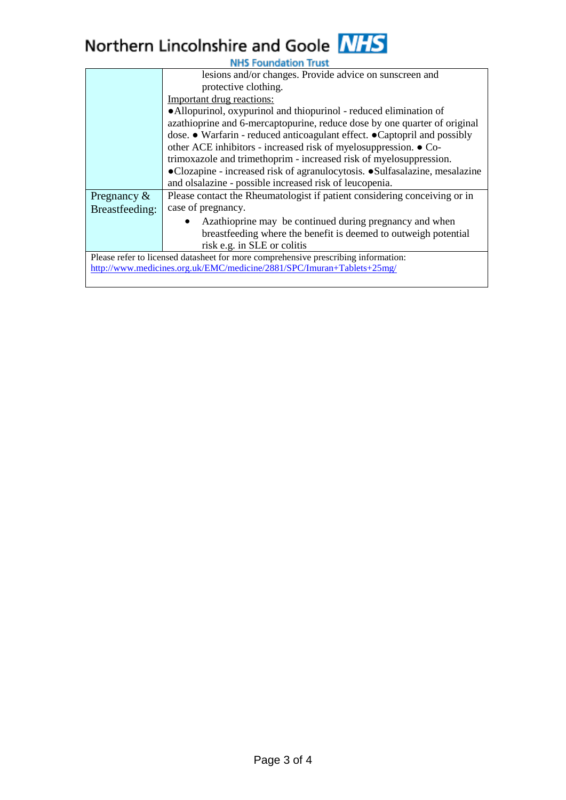# Northern Lincolnshire and Goole NHS

| <b>NHS Foundation Trust</b>                                                        |                                                                            |  |  |  |
|------------------------------------------------------------------------------------|----------------------------------------------------------------------------|--|--|--|
|                                                                                    | lesions and/or changes. Provide advice on sunscreen and                    |  |  |  |
|                                                                                    | protective clothing.                                                       |  |  |  |
|                                                                                    | Important drug reactions:                                                  |  |  |  |
|                                                                                    | • Allopurinol, oxypurinol and thiopurinol - reduced elimination of         |  |  |  |
|                                                                                    | azathioprine and 6-mercaptopurine, reduce dose by one quarter of original  |  |  |  |
|                                                                                    | dose. • Warfarin - reduced anticoagulant effect. • Captopril and possibly  |  |  |  |
|                                                                                    | other ACE inhibitors - increased risk of myelosuppression. ● Co-           |  |  |  |
|                                                                                    | trimoxazole and trimethoprim - increased risk of myelosuppression.         |  |  |  |
|                                                                                    | •Clozapine - increased risk of agranulocytosis. •Sulfasalazine, mesalazine |  |  |  |
|                                                                                    | and olsalazine - possible increased risk of leucopenia.                    |  |  |  |
| Pregnancy $\&$                                                                     | Please contact the Rheumatologist if patient considering conceiving or in  |  |  |  |
| Breastfeeding:                                                                     | case of pregnancy.                                                         |  |  |  |
|                                                                                    | Azathioprine may be continued during pregnancy and when                    |  |  |  |
|                                                                                    | breastfeeding where the benefit is deemed to outweigh potential            |  |  |  |
|                                                                                    | risk e.g. in SLE or colitis                                                |  |  |  |
| Please refer to licensed datasheet for more comprehensive prescribing information: |                                                                            |  |  |  |
| http://www.medicines.org.uk/EMC/medicine/2881/SPC/Imuran+Tablets+25mg/             |                                                                            |  |  |  |
|                                                                                    |                                                                            |  |  |  |